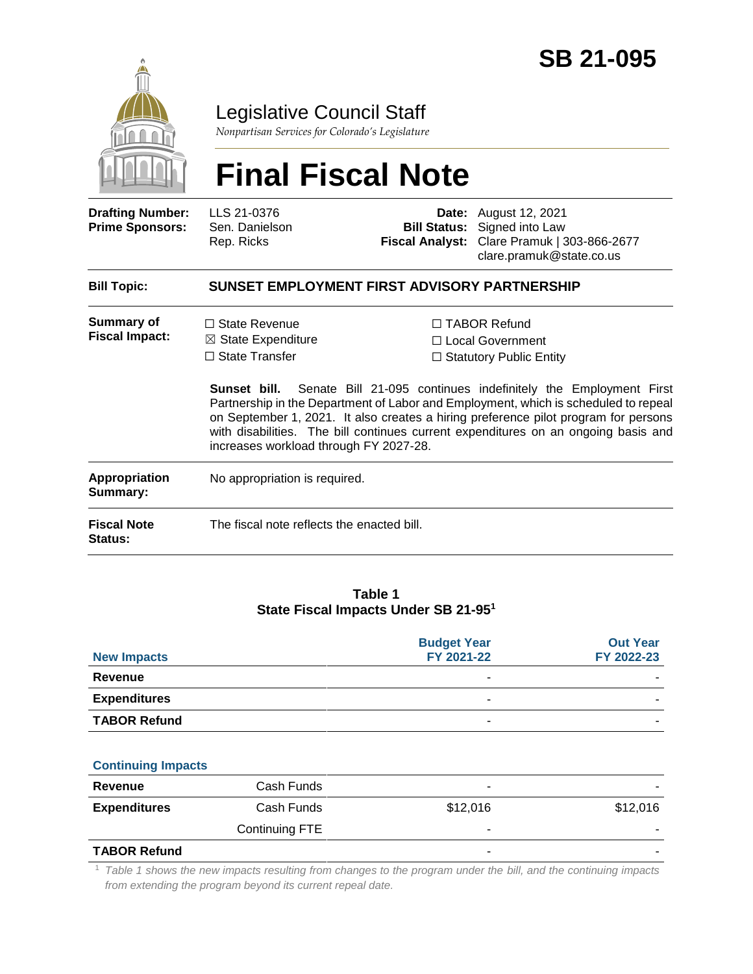

## Legislative Council Staff

*Nonpartisan Services for Colorado's Legislature*

# **Final Fiscal Note**

| <b>Drafting Number:</b><br><b>Prime Sponsors:</b> | LLS 21-0376<br>Sen. Danielson<br>Rep. Ricks                                                                                                                                                                                                                                                                                                                                                  |  | <b>Date:</b> August 12, 2021<br><b>Bill Status:</b> Signed into Law<br>Fiscal Analyst: Clare Pramuk   303-866-2677<br>clare.pramuk@state.co.us |  |  |  |
|---------------------------------------------------|----------------------------------------------------------------------------------------------------------------------------------------------------------------------------------------------------------------------------------------------------------------------------------------------------------------------------------------------------------------------------------------------|--|------------------------------------------------------------------------------------------------------------------------------------------------|--|--|--|
| <b>Bill Topic:</b>                                | SUNSET EMPLOYMENT FIRST ADVISORY PARTNERSHIP                                                                                                                                                                                                                                                                                                                                                 |  |                                                                                                                                                |  |  |  |
| <b>Summary of</b><br><b>Fiscal Impact:</b>        | $\Box$ State Revenue<br>$\boxtimes$ State Expenditure                                                                                                                                                                                                                                                                                                                                        |  | □ TABOR Refund<br>□ Local Government                                                                                                           |  |  |  |
|                                                   | $\Box$ State Transfer                                                                                                                                                                                                                                                                                                                                                                        |  | $\Box$ Statutory Public Entity                                                                                                                 |  |  |  |
|                                                   | Senate Bill 21-095 continues indefinitely the Employment First<br>Sunset bill.<br>Partnership in the Department of Labor and Employment, which is scheduled to repeal<br>on September 1, 2021. It also creates a hiring preference pilot program for persons<br>with disabilities. The bill continues current expenditures on an ongoing basis and<br>increases workload through FY 2027-28. |  |                                                                                                                                                |  |  |  |
| Appropriation<br>Summary:                         | No appropriation is required.                                                                                                                                                                                                                                                                                                                                                                |  |                                                                                                                                                |  |  |  |
| <b>Fiscal Note</b><br><b>Status:</b>              | The fiscal note reflects the enacted bill.                                                                                                                                                                                                                                                                                                                                                   |  |                                                                                                                                                |  |  |  |
|                                                   |                                                                                                                                                                                                                                                                                                                                                                                              |  |                                                                                                                                                |  |  |  |

#### **Table 1 State Fiscal Impacts Under SB 21-95<sup>1</sup>**

| <b>New Impacts</b>        | <b>Budget Year</b><br>FY 2021-22 | <b>Out Year</b><br>FY 2022-23 |
|---------------------------|----------------------------------|-------------------------------|
| <b>Revenue</b>            | ۰                                |                               |
| <b>Expenditures</b>       |                                  |                               |
| <b>TABOR Refund</b>       |                                  |                               |
| <b>Continuing Impacts</b> |                                  |                               |

| -                   |                |          |          |
|---------------------|----------------|----------|----------|
| Revenue             | Cash Funds     | -        | -        |
| <b>Expenditures</b> | Cash Funds     | \$12,016 | \$12,016 |
|                     | Continuing FTE | -        |          |
| <b>TABOR Refund</b> |                | -        | ۰        |

#### <sup>1</sup> *Table 1 shows the new impacts resulting from changes to the program under the bill, and the continuing impacts from extending the program beyond its current repeal date.*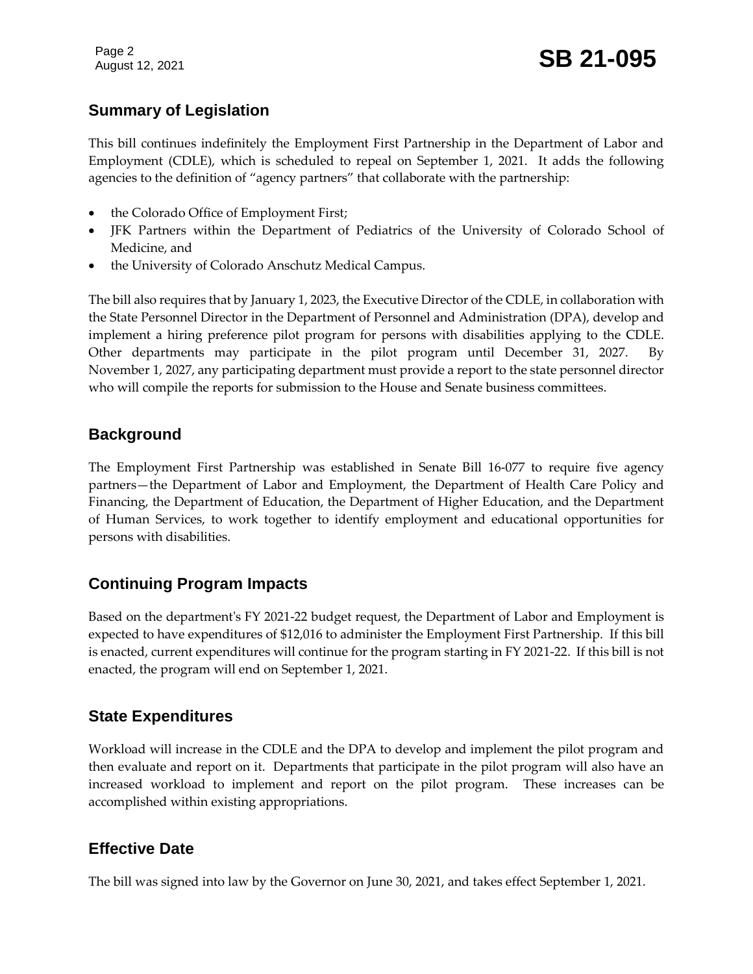### **Summary of Legislation**

This bill continues indefinitely the Employment First Partnership in the Department of Labor and Employment (CDLE), which is scheduled to repeal on September 1, 2021. It adds the following agencies to the definition of "agency partners" that collaborate with the partnership:

- the Colorado Office of Employment First;
- JFK Partners within the Department of Pediatrics of the University of Colorado School of Medicine, and
- the University of Colorado Anschutz Medical Campus.

The bill also requires that by January 1, 2023, the Executive Director of the CDLE, in collaboration with the State Personnel Director in the Department of Personnel and Administration (DPA), develop and implement a hiring preference pilot program for persons with disabilities applying to the CDLE. Other departments may participate in the pilot program until December 31, 2027. By November 1, 2027, any participating department must provide a report to the state personnel director who will compile the reports for submission to the House and Senate business committees.

#### **Background**

The Employment First Partnership was established in Senate Bill 16-077 to require five agency partners—the Department of Labor and Employment, the Department of Health Care Policy and Financing, the Department of Education, the Department of Higher Education, and the Department of Human Services, to work together to identify employment and educational opportunities for persons with disabilities.

#### **Continuing Program Impacts**

Based on the department's FY 2021-22 budget request, the Department of Labor and Employment is expected to have expenditures of \$12,016 to administer the Employment First Partnership. If this bill is enacted, current expenditures will continue for the program starting in FY 2021-22. If this bill is not enacted, the program will end on September 1, 2021.

#### **State Expenditures**

Workload will increase in the CDLE and the DPA to develop and implement the pilot program and then evaluate and report on it. Departments that participate in the pilot program will also have an increased workload to implement and report on the pilot program. These increases can be accomplished within existing appropriations.

#### **Effective Date**

The bill was signed into law by the Governor on June 30, 2021, and takes effect September 1, 2021.